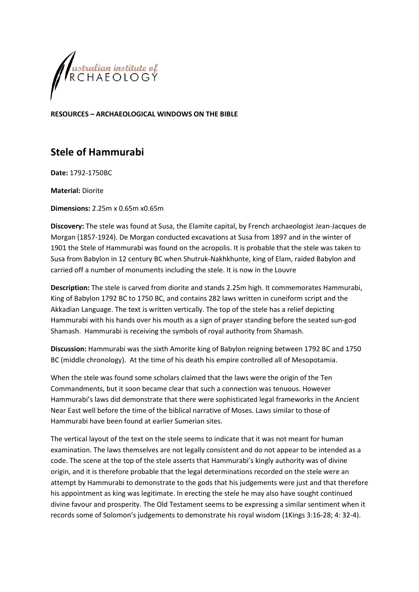

**RESOURCES – ARCHAEOLOGICAL WINDOWS ON THE BIBLE**

## **Stele of Hammurabi**

**Date:** 1792-1750BC

**Material:** Diorite

**Dimensions:** 2.25m x 0.65m x0.65m

**Discovery:** The stele was found at Susa, the Elamite capital, by French archaeologist Jean-Jacques de Morgan (1857-1924). De Morgan conducted excavations at Susa from 1897 and in the winter of 1901 the Stele of Hammurabi was found on the acropolis. It is probable that the stele was taken to Susa from Babylon in 12 century BC when Shutruk-Nakhkhunte, king of Elam, raided Babylon and carried off a number of monuments including the stele. It is now in the Louvre

**Description:** The stele is carved from diorite and stands 2.25m high. It commemorates Hammurabi, King of Babylon 1792 BC to 1750 BC, and contains 282 laws written in cuneiform script and the Akkadian Language. The text is written vertically. The top of the stele has a relief depicting Hammurabi with his hands over his mouth as a sign of prayer standing before the seated sun-god Shamash. Hammurabi is receiving the symbols of royal authority from Shamash.

**Discussion:** Hammurabi was the sixth Amorite king of Babylon reigning between 1792 BC and 1750 BC (middle chronology). At the time of his death his empire controlled all of Mesopotamia.

When the stele was found some scholars claimed that the laws were the origin of the Ten Commandments, but it soon became clear that such a connection was tenuous. However Hammurabi's laws did demonstrate that there were sophisticated legal frameworks in the Ancient Near East well before the time of the biblical narrative of Moses. Laws similar to those of Hammurabi have been found at earlier Sumerian sites.

The vertical layout of the text on the stele seems to indicate that it was not meant for human examination. The laws themselves are not legally consistent and do not appear to be intended as a code. The scene at the top of the stele asserts that Hammurabi's kingly authority was of divine origin, and it is therefore probable that the legal determinations recorded on the stele were an attempt by Hammurabi to demonstrate to the gods that his judgements were just and that therefore his appointment as king was legitimate. In erecting the stele he may also have sought continued divine favour and prosperity. The Old Testament seems to be expressing a similar sentiment when it records some of Solomon's judgements to demonstrate his royal wisdom (1Kings 3:16-28; 4: 32-4).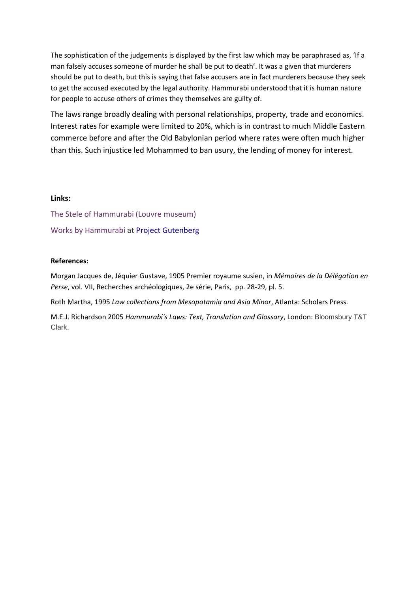The sophistication of the judgements is displayed by the first law which may be paraphrased as, 'If a man falsely accuses someone of murder he shall be put to death'. It was a given that murderers should be put to death, but this is saying that false accusers are in fact murderers because they seek to get the accused executed by the legal authority. Hammurabi understood that it is human nature for people to accuse others of crimes they themselves are guilty of.

The laws range broadly dealing with personal relationships, property, trade and economics. Interest rates for example were limited to 20%, which is in contrast to much Middle Eastern commerce before and after the Old Babylonian period where rates were often much higher than this. Such injustice led Mohammed to ban usury, the lending of money for interest.

## **Links:**

[The Stele of Hammurabi \(Louvre museum\)](http://www.louvre.fr/en/oeuvre-notices/law-code-hammurabi-king-babylon) [Works by Hammurabi](http://www.gutenberg.org/author/Hammurabi,+King+of+Babylonia) at [Project Gutenberg](http://en.wikipedia.org/wiki/Project_Gutenberg)

## **References:**

Morgan Jacques de, Jéquier Gustave, 1905 Premier royaume susien, in *Mémoires de la Délégation en Perse*, vol. VII, Recherches archéologiques, 2e série, Paris, pp. 28-29, pl. 5.

Roth Martha, 1995 *Law collections from Mesopotamia and Asia Minor*, Atlanta: Scholars Press.

M.E.J. Richardson 2005 *Hammurabi's Laws: Text, Translation and Glossary*, London: Bloomsbury T&T Clark.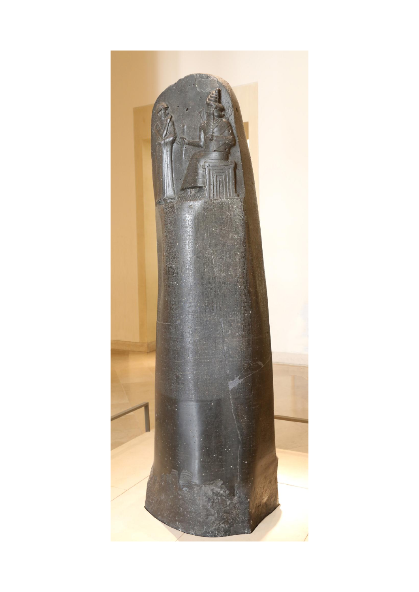